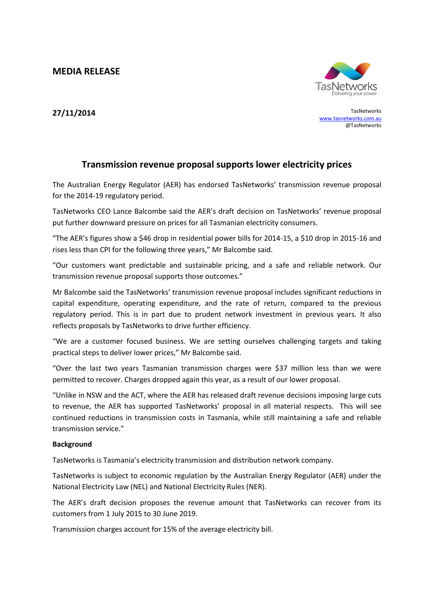**MEDIA RELEASE**



**27/11/2014** TasNetworks [www.tasnetworks.com.au](http://www.tasnetworks.com.au/) @TasNetworks

## **Transmission revenue proposal supports lower electricity prices**

The Australian Energy Regulator (AER) has endorsed TasNetworks' transmission revenue proposal for the 2014-19 regulatory period.

TasNetworks CEO Lance Balcombe said the AER's draft decision on TasNetworks' revenue proposal put further downward pressure on prices for all Tasmanian electricity consumers.

"The AER's figures show a \$46 drop in residential power bills for 2014-15, a \$10 drop in 2015-16 and rises less than CPI for the following three years," Mr Balcombe said.

"Our customers want predictable and sustainable pricing, and a safe and reliable network. Our transmission revenue proposal supports those outcomes."

Mr Balcombe said the TasNetworks' transmission revenue proposal includes significant reductions in capital expenditure, operating expenditure, and the rate of return, compared to the previous regulatory period. This is in part due to prudent network investment in previous years. It also reflects proposals by TasNetworks to drive further efficiency.

"We are a customer focused business. We are setting ourselves challenging targets and taking practical steps to deliver lower prices," Mr Balcombe said.

"Over the last two years Tasmanian transmission charges were \$37 million less than we were permitted to recover. Charges dropped again this year, as a result of our lower proposal.

"Unlike in NSW and the ACT, where the AER has released draft revenue decisions imposing large cuts to revenue, the AER has supported TasNetworks' proposal in all material respects. This will see continued reductions in transmission costs in Tasmania, while still maintaining a safe and reliable transmission service."

## **Background**

TasNetworks is Tasmania's electricity transmission and distribution network company.

TasNetworks is subject to economic regulation by the Australian Energy Regulator (AER) under the National Electricity Law (NEL) and National Electricity Rules (NER).

The AER's draft decision proposes the revenue amount that TasNetworks can recover from its customers from 1 July 2015 to 30 June 2019.

Transmission charges account for 15% of the average electricity bill.